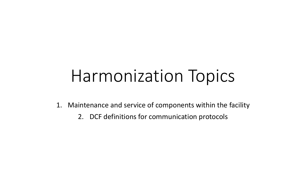## Harmonization Topics

- 1. Maintenance and service of components within the facility
	- 2. DCF definitions for communication protocols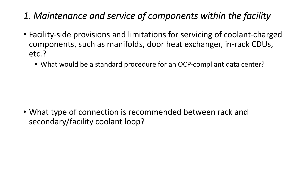- *1. Maintenance and service of components within the facility*
- Facility-side provisions and limitations for servicing of coolant-charged components, such as manifolds, door heat exchanger, in-rack CDUs, etc.?
	- What would be a standard procedure for an OCP-compliant data center?

• What type of connection is recommended between rack and secondary/facility coolant loop?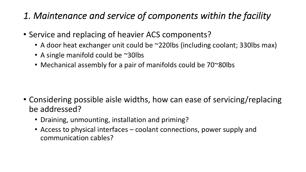- *1. Maintenance and service of components within the facility*
- Service and replacing of heavier ACS components?
	- A door heat exchanger unit could be ~220lbs (including coolant; 330lbs max)
	- A single manifold could be ~30lbs
	- Mechanical assembly for a pair of manifolds could be 70~80lbs

- Considering possible aisle widths, how can ease of servicing/replacing be addressed?
	- Draining, unmounting, installation and priming?
	- Access to physical interfaces coolant connections, power supply and communication cables?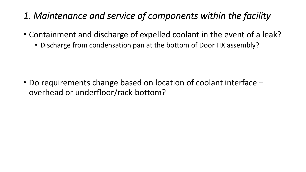- *1. Maintenance and service of components within the facility*
- Containment and discharge of expelled coolant in the event of a leak?
	- Discharge from condensation pan at the bottom of Door HX assembly?

• Do requirements change based on location of coolant interface – overhead or underfloor/rack-bottom?